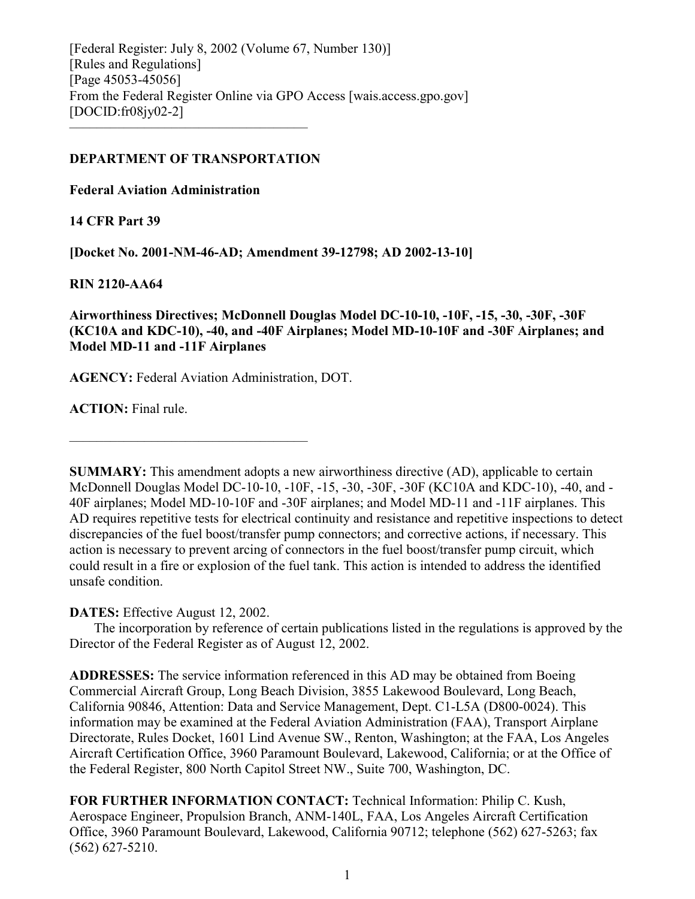[Federal Register: July 8, 2002 (Volume 67, Number 130)] [Rules and Regulations] [Page 45053-45056] From the Federal Register Online via GPO Access [wais.access.gpo.gov] [DOCID:fr08jy02-2] –––––––––––––––––––––––––––––––––––

# **DEPARTMENT OF TRANSPORTATION**

**Federal Aviation Administration**

**14 CFR Part 39**

**[Docket No. 2001-NM-46-AD; Amendment 39-12798; AD 2002-13-10]**

**RIN 2120-AA64**

**Airworthiness Directives; McDonnell Douglas Model DC-10-10, -10F, -15, -30, -30F, -30F (KC10A and KDC-10), -40, and -40F Airplanes; Model MD-10-10F and -30F Airplanes; and Model MD-11 and -11F Airplanes**

**AGENCY:** Federal Aviation Administration, DOT.

–––––––––––––––––––––––––––––––––––

**ACTION:** Final rule.

**SUMMARY:** This amendment adopts a new airworthiness directive (AD), applicable to certain McDonnell Douglas Model DC-10-10, -10F, -15, -30, -30F, -30F (KC10A and KDC-10), -40, and - 40F airplanes; Model MD-10-10F and -30F airplanes; and Model MD-11 and -11F airplanes. This AD requires repetitive tests for electrical continuity and resistance and repetitive inspections to detect discrepancies of the fuel boost/transfer pump connectors; and corrective actions, if necessary. This action is necessary to prevent arcing of connectors in the fuel boost/transfer pump circuit, which could result in a fire or explosion of the fuel tank. This action is intended to address the identified unsafe condition.

**DATES:** Effective August 12, 2002.

The incorporation by reference of certain publications listed in the regulations is approved by the Director of the Federal Register as of August 12, 2002.

**ADDRESSES:** The service information referenced in this AD may be obtained from Boeing Commercial Aircraft Group, Long Beach Division, 3855 Lakewood Boulevard, Long Beach, California 90846, Attention: Data and Service Management, Dept. C1-L5A (D800-0024). This information may be examined at the Federal Aviation Administration (FAA), Transport Airplane Directorate, Rules Docket, 1601 Lind Avenue SW., Renton, Washington; at the FAA, Los Angeles Aircraft Certification Office, 3960 Paramount Boulevard, Lakewood, California; or at the Office of the Federal Register, 800 North Capitol Street NW., Suite 700, Washington, DC.

**FOR FURTHER INFORMATION CONTACT:** Technical Information: Philip C. Kush, Aerospace Engineer, Propulsion Branch, ANM-140L, FAA, Los Angeles Aircraft Certification Office, 3960 Paramount Boulevard, Lakewood, California 90712; telephone (562) 627-5263; fax (562) 627-5210.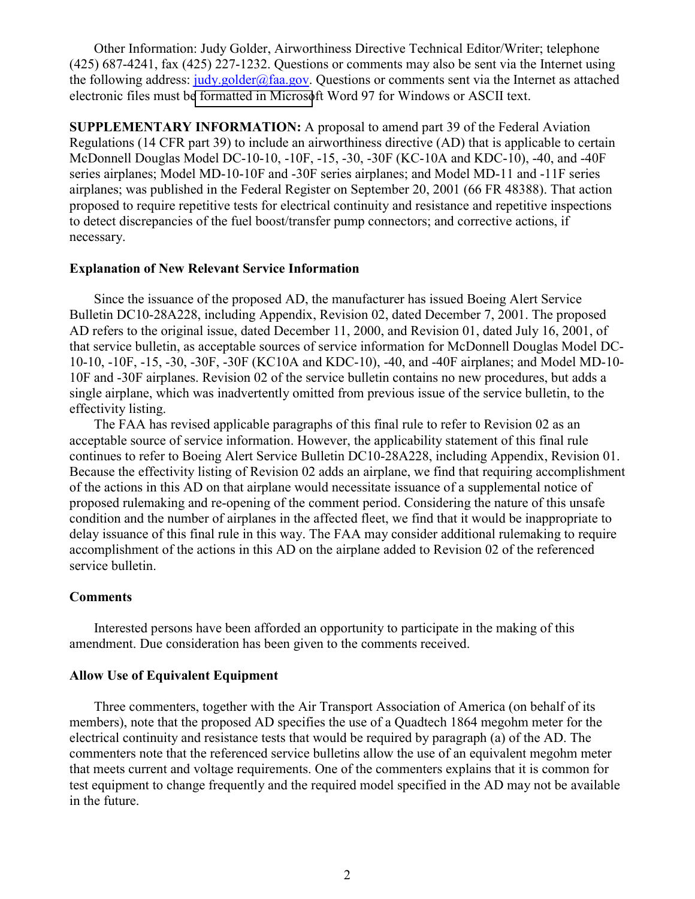Other Information: Judy Golder, Airworthiness Directive Technical Editor/Writer; telephone (425) 687-4241, fax (425) 227-1232. Questions or comments may also be sent via the Internet using the following address:  $judv, golden(\hat{\alpha}faa.gov)$ . Questions or comments sent via the Internet as attached electronic files must b[e formatted in Microso](mailto:judy.golder@faa.gov)ft Word 97 for Windows or ASCII text.

**SUPPLEMENTARY INFORMATION:** A proposal to amend part 39 of the Federal Aviation Regulations (14 CFR part 39) to include an airworthiness directive (AD) that is applicable to certain McDonnell Douglas Model DC-10-10, -10F, -15, -30, -30F (KC-10A and KDC-10), -40, and -40F series airplanes; Model MD-10-10F and -30F series airplanes; and Model MD-11 and -11F series airplanes; was published in the Federal Register on September 20, 2001 (66 FR 48388). That action proposed to require repetitive tests for electrical continuity and resistance and repetitive inspections to detect discrepancies of the fuel boost/transfer pump connectors; and corrective actions, if necessary.

# **Explanation of New Relevant Service Information**

Since the issuance of the proposed AD, the manufacturer has issued Boeing Alert Service Bulletin DC10-28A228, including Appendix, Revision 02, dated December 7, 2001. The proposed AD refers to the original issue, dated December 11, 2000, and Revision 01, dated July 16, 2001, of that service bulletin, as acceptable sources of service information for McDonnell Douglas Model DC-10-10, -10F, -15, -30, -30F, -30F (KC10A and KDC-10), -40, and -40F airplanes; and Model MD-10- 10F and -30F airplanes. Revision 02 of the service bulletin contains no new procedures, but adds a single airplane, which was inadvertently omitted from previous issue of the service bulletin, to the effectivity listing.

The FAA has revised applicable paragraphs of this final rule to refer to Revision 02 as an acceptable source of service information. However, the applicability statement of this final rule continues to refer to Boeing Alert Service Bulletin DC10-28A228, including Appendix, Revision 01. Because the effectivity listing of Revision 02 adds an airplane, we find that requiring accomplishment of the actions in this AD on that airplane would necessitate issuance of a supplemental notice of proposed rulemaking and re-opening of the comment period. Considering the nature of this unsafe condition and the number of airplanes in the affected fleet, we find that it would be inappropriate to delay issuance of this final rule in this way. The FAA may consider additional rulemaking to require accomplishment of the actions in this AD on the airplane added to Revision 02 of the referenced service bulletin.

# **Comments**

Interested persons have been afforded an opportunity to participate in the making of this amendment. Due consideration has been given to the comments received.

# **Allow Use of Equivalent Equipment**

Three commenters, together with the Air Transport Association of America (on behalf of its members), note that the proposed AD specifies the use of a Quadtech 1864 megohm meter for the electrical continuity and resistance tests that would be required by paragraph (a) of the AD. The commenters note that the referenced service bulletins allow the use of an equivalent megohm meter that meets current and voltage requirements. One of the commenters explains that it is common for test equipment to change frequently and the required model specified in the AD may not be available in the future.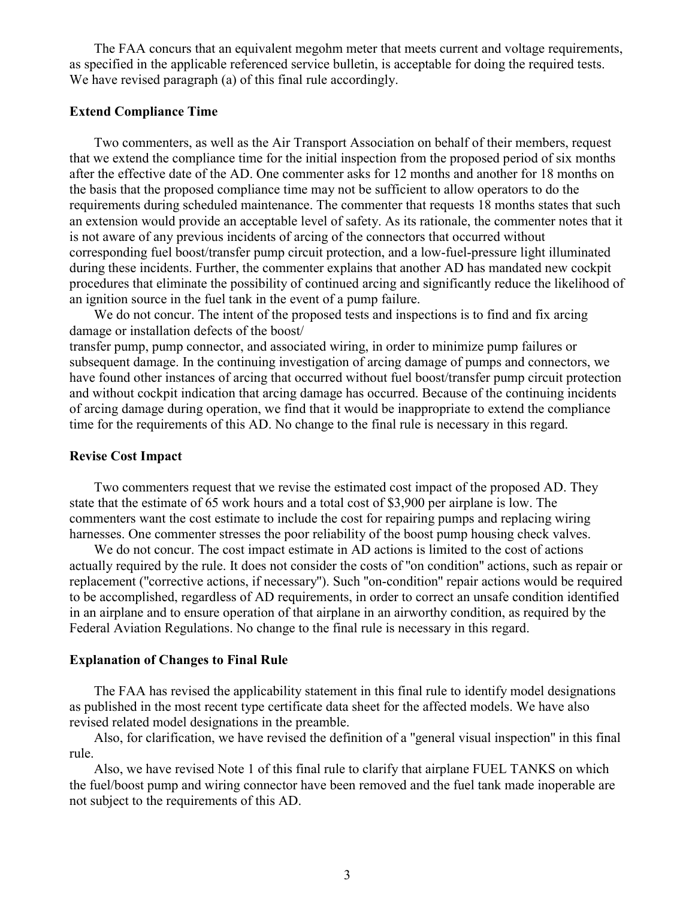The FAA concurs that an equivalent megohm meter that meets current and voltage requirements, as specified in the applicable referenced service bulletin, is acceptable for doing the required tests. We have revised paragraph (a) of this final rule accordingly.

# **Extend Compliance Time**

Two commenters, as well as the Air Transport Association on behalf of their members, request that we extend the compliance time for the initial inspection from the proposed period of six months after the effective date of the AD. One commenter asks for 12 months and another for 18 months on the basis that the proposed compliance time may not be sufficient to allow operators to do the requirements during scheduled maintenance. The commenter that requests 18 months states that such an extension would provide an acceptable level of safety. As its rationale, the commenter notes that it is not aware of any previous incidents of arcing of the connectors that occurred without corresponding fuel boost/transfer pump circuit protection, and a low-fuel-pressure light illuminated during these incidents. Further, the commenter explains that another AD has mandated new cockpit procedures that eliminate the possibility of continued arcing and significantly reduce the likelihood of an ignition source in the fuel tank in the event of a pump failure.

We do not concur. The intent of the proposed tests and inspections is to find and fix arcing damage or installation defects of the boost/ transfer pump, pump connector, and associated wiring, in order to minimize pump failures or subsequent damage. In the continuing investigation of arcing damage of pumps and connectors, we have found other instances of arcing that occurred without fuel boost/transfer pump circuit protection and without cockpit indication that arcing damage has occurred. Because of the continuing incidents of arcing damage during operation, we find that it would be inappropriate to extend the compliance time for the requirements of this AD. No change to the final rule is necessary in this regard.

#### **Revise Cost Impact**

Two commenters request that we revise the estimated cost impact of the proposed AD. They state that the estimate of 65 work hours and a total cost of \$3,900 per airplane is low. The commenters want the cost estimate to include the cost for repairing pumps and replacing wiring harnesses. One commenter stresses the poor reliability of the boost pump housing check valves.

We do not concur. The cost impact estimate in AD actions is limited to the cost of actions actually required by the rule. It does not consider the costs of ''on condition'' actions, such as repair or replacement (''corrective actions, if necessary''). Such ''on-condition'' repair actions would be required to be accomplished, regardless of AD requirements, in order to correct an unsafe condition identified in an airplane and to ensure operation of that airplane in an airworthy condition, as required by the Federal Aviation Regulations. No change to the final rule is necessary in this regard.

#### **Explanation of Changes to Final Rule**

The FAA has revised the applicability statement in this final rule to identify model designations as published in the most recent type certificate data sheet for the affected models. We have also revised related model designations in the preamble.

Also, for clarification, we have revised the definition of a ''general visual inspection'' in this final rule.

Also, we have revised Note 1 of this final rule to clarify that airplane FUEL TANKS on which the fuel/boost pump and wiring connector have been removed and the fuel tank made inoperable are not subject to the requirements of this AD.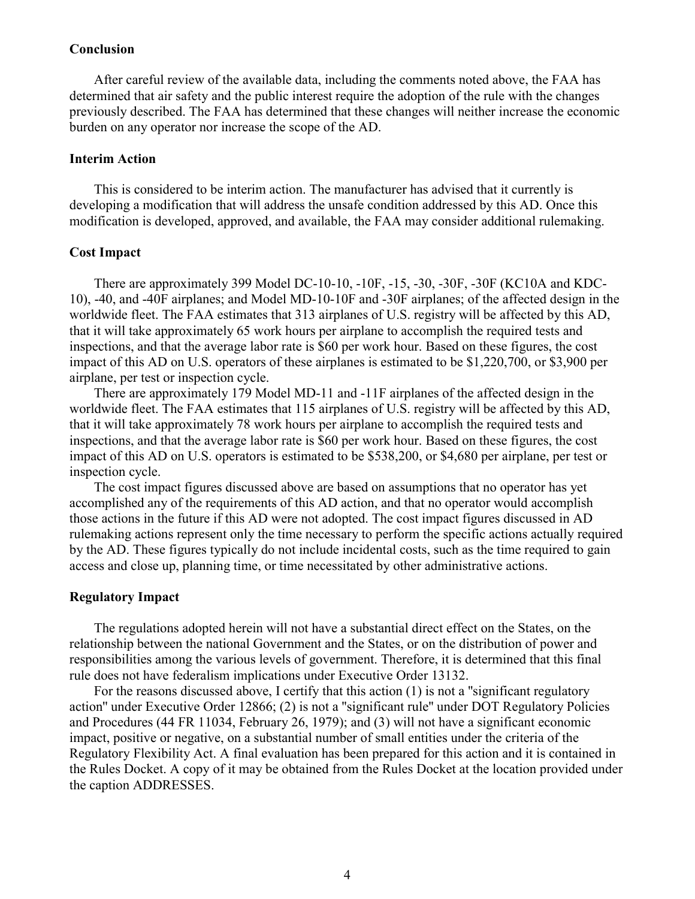# **Conclusion**

After careful review of the available data, including the comments noted above, the FAA has determined that air safety and the public interest require the adoption of the rule with the changes previously described. The FAA has determined that these changes will neither increase the economic burden on any operator nor increase the scope of the AD.

# **Interim Action**

This is considered to be interim action. The manufacturer has advised that it currently is developing a modification that will address the unsafe condition addressed by this AD. Once this modification is developed, approved, and available, the FAA may consider additional rulemaking.

#### **Cost Impact**

There are approximately 399 Model DC-10-10, -10F, -15, -30, -30F, -30F (KC10A and KDC-10), -40, and -40F airplanes; and Model MD-10-10F and -30F airplanes; of the affected design in the worldwide fleet. The FAA estimates that 313 airplanes of U.S. registry will be affected by this AD, that it will take approximately 65 work hours per airplane to accomplish the required tests and inspections, and that the average labor rate is \$60 per work hour. Based on these figures, the cost impact of this AD on U.S. operators of these airplanes is estimated to be \$1,220,700, or \$3,900 per airplane, per test or inspection cycle.

There are approximately 179 Model MD-11 and -11F airplanes of the affected design in the worldwide fleet. The FAA estimates that 115 airplanes of U.S. registry will be affected by this AD, that it will take approximately 78 work hours per airplane to accomplish the required tests and inspections, and that the average labor rate is \$60 per work hour. Based on these figures, the cost impact of this AD on U.S. operators is estimated to be \$538,200, or \$4,680 per airplane, per test or inspection cycle.

The cost impact figures discussed above are based on assumptions that no operator has yet accomplished any of the requirements of this AD action, and that no operator would accomplish those actions in the future if this AD were not adopted. The cost impact figures discussed in AD rulemaking actions represent only the time necessary to perform the specific actions actually required by the AD. These figures typically do not include incidental costs, such as the time required to gain access and close up, planning time, or time necessitated by other administrative actions.

# **Regulatory Impact**

The regulations adopted herein will not have a substantial direct effect on the States, on the relationship between the national Government and the States, or on the distribution of power and responsibilities among the various levels of government. Therefore, it is determined that this final rule does not have federalism implications under Executive Order 13132.

For the reasons discussed above, I certify that this action (1) is not a ''significant regulatory action'' under Executive Order 12866; (2) is not a ''significant rule'' under DOT Regulatory Policies and Procedures (44 FR 11034, February 26, 1979); and (3) will not have a significant economic impact, positive or negative, on a substantial number of small entities under the criteria of the Regulatory Flexibility Act. A final evaluation has been prepared for this action and it is contained in the Rules Docket. A copy of it may be obtained from the Rules Docket at the location provided under the caption ADDRESSES.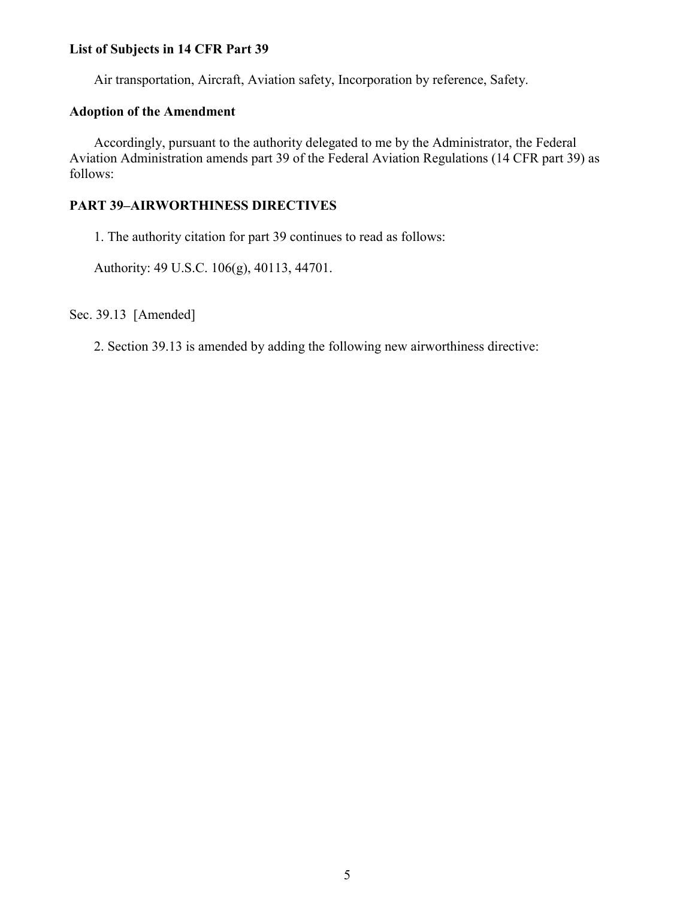# **List of Subjects in 14 CFR Part 39**

Air transportation, Aircraft, Aviation safety, Incorporation by reference, Safety.

# **Adoption of the Amendment**

Accordingly, pursuant to the authority delegated to me by the Administrator, the Federal Aviation Administration amends part 39 of the Federal Aviation Regulations (14 CFR part 39) as follows:

# **PART 39–AIRWORTHINESS DIRECTIVES**

1. The authority citation for part 39 continues to read as follows:

Authority: 49 U.S.C. 106(g), 40113, 44701.

Sec. 39.13 [Amended]

2. Section 39.13 is amended by adding the following new airworthiness directive: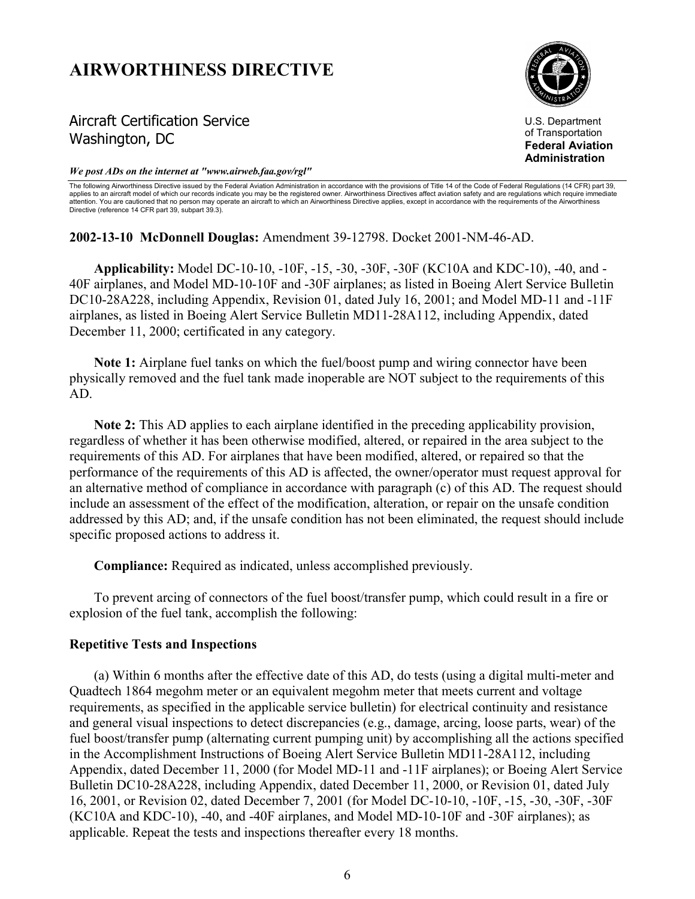# **AIRWORTHINESS DIRECTIVE**

# Aircraft Certification Service Washington, DC



U.S. Department of Transportation **Federal Aviation Administration**

#### *We post ADs on the internet at "www.airweb.faa.gov/rgl"*

The following Airworthiness Directive issued by the Federal Aviation Administration in accordance with the provisions of Title 14 of the Code of Federal Regulations (14 CFR) part 39, applies to an aircraft model of which our records indicate you may be the registered owner. Airworthiness Directives affect aviation safety and are regulations which require immediate attention. You are cautioned that no person may operate an aircraft to which an Airworthiness Directive applies, except in accordance with the requirements of the Airworthiness Directive (reference 14 CFR part 39, subpart 39.3).

**2002-13-10 McDonnell Douglas:** Amendment 39-12798. Docket 2001-NM-46-AD.

**Applicability:** Model DC-10-10, -10F, -15, -30, -30F, -30F (KC10A and KDC-10), -40, and - 40F airplanes, and Model MD-10-10F and -30F airplanes; as listed in Boeing Alert Service Bulletin DC10-28A228, including Appendix, Revision 01, dated July 16, 2001; and Model MD-11 and -11F airplanes, as listed in Boeing Alert Service Bulletin MD11-28A112, including Appendix, dated December 11, 2000; certificated in any category.

**Note 1:** Airplane fuel tanks on which the fuel/boost pump and wiring connector have been physically removed and the fuel tank made inoperable are NOT subject to the requirements of this AD.

**Note 2:** This AD applies to each airplane identified in the preceding applicability provision, regardless of whether it has been otherwise modified, altered, or repaired in the area subject to the requirements of this AD. For airplanes that have been modified, altered, or repaired so that the performance of the requirements of this AD is affected, the owner/operator must request approval for an alternative method of compliance in accordance with paragraph (c) of this AD. The request should include an assessment of the effect of the modification, alteration, or repair on the unsafe condition addressed by this AD; and, if the unsafe condition has not been eliminated, the request should include specific proposed actions to address it.

**Compliance:** Required as indicated, unless accomplished previously.

To prevent arcing of connectors of the fuel boost/transfer pump, which could result in a fire or explosion of the fuel tank, accomplish the following:

# **Repetitive Tests and Inspections**

(a) Within 6 months after the effective date of this AD, do tests (using a digital multi-meter and Quadtech 1864 megohm meter or an equivalent megohm meter that meets current and voltage requirements, as specified in the applicable service bulletin) for electrical continuity and resistance and general visual inspections to detect discrepancies (e.g., damage, arcing, loose parts, wear) of the fuel boost/transfer pump (alternating current pumping unit) by accomplishing all the actions specified in the Accomplishment Instructions of Boeing Alert Service Bulletin MD11-28A112, including Appendix, dated December 11, 2000 (for Model MD-11 and -11F airplanes); or Boeing Alert Service Bulletin DC10-28A228, including Appendix, dated December 11, 2000, or Revision 01, dated July 16, 2001, or Revision 02, dated December 7, 2001 (for Model DC-10-10, -10F, -15, -30, -30F, -30F (KC10A and KDC-10), -40, and -40F airplanes, and Model MD-10-10F and -30F airplanes); as applicable. Repeat the tests and inspections thereafter every 18 months.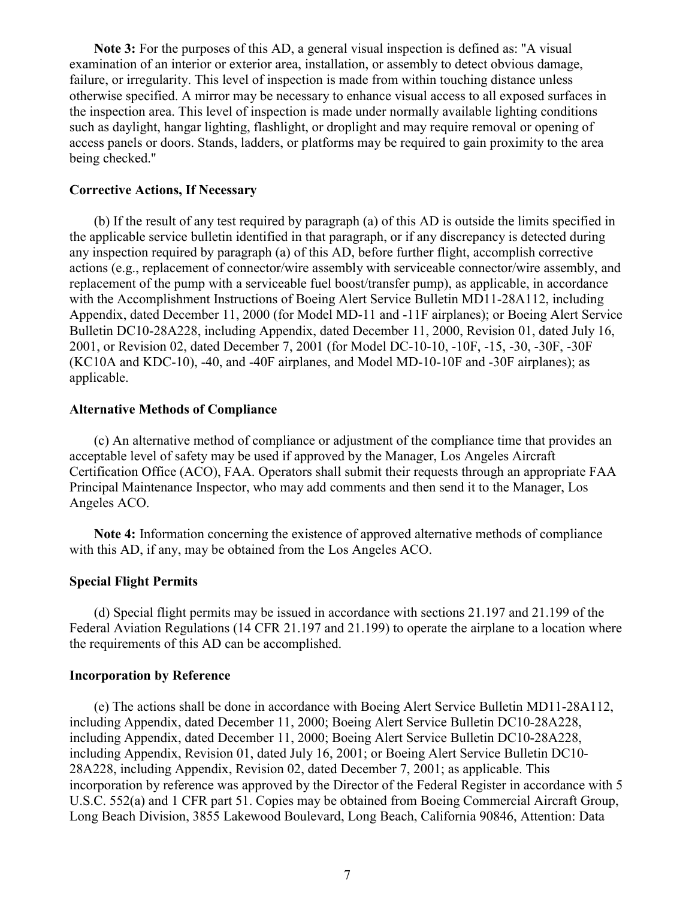**Note 3:** For the purposes of this AD, a general visual inspection is defined as: ''A visual examination of an interior or exterior area, installation, or assembly to detect obvious damage, failure, or irregularity. This level of inspection is made from within touching distance unless otherwise specified. A mirror may be necessary to enhance visual access to all exposed surfaces in the inspection area. This level of inspection is made under normally available lighting conditions such as daylight, hangar lighting, flashlight, or droplight and may require removal or opening of access panels or doors. Stands, ladders, or platforms may be required to gain proximity to the area being checked.''

#### **Corrective Actions, If Necessary**

(b) If the result of any test required by paragraph (a) of this AD is outside the limits specified in the applicable service bulletin identified in that paragraph, or if any discrepancy is detected during any inspection required by paragraph (a) of this AD, before further flight, accomplish corrective actions (e.g., replacement of connector/wire assembly with serviceable connector/wire assembly, and replacement of the pump with a serviceable fuel boost/transfer pump), as applicable, in accordance with the Accomplishment Instructions of Boeing Alert Service Bulletin MD11-28A112, including Appendix, dated December 11, 2000 (for Model MD-11 and -11F airplanes); or Boeing Alert Service Bulletin DC10-28A228, including Appendix, dated December 11, 2000, Revision 01, dated July 16, 2001, or Revision 02, dated December 7, 2001 (for Model DC-10-10, -10F, -15, -30, -30F, -30F (KC10A and KDC-10), -40, and -40F airplanes, and Model MD-10-10F and -30F airplanes); as applicable.

# **Alternative Methods of Compliance**

(c) An alternative method of compliance or adjustment of the compliance time that provides an acceptable level of safety may be used if approved by the Manager, Los Angeles Aircraft Certification Office (ACO), FAA. Operators shall submit their requests through an appropriate FAA Principal Maintenance Inspector, who may add comments and then send it to the Manager, Los Angeles ACO.

**Note 4:** Information concerning the existence of approved alternative methods of compliance with this AD, if any, may be obtained from the Los Angeles ACO.

# **Special Flight Permits**

(d) Special flight permits may be issued in accordance with sections 21.197 and 21.199 of the Federal Aviation Regulations (14 CFR 21.197 and 21.199) to operate the airplane to a location where the requirements of this AD can be accomplished.

# **Incorporation by Reference**

(e) The actions shall be done in accordance with Boeing Alert Service Bulletin MD11-28A112, including Appendix, dated December 11, 2000; Boeing Alert Service Bulletin DC10-28A228, including Appendix, dated December 11, 2000; Boeing Alert Service Bulletin DC10-28A228, including Appendix, Revision 01, dated July 16, 2001; or Boeing Alert Service Bulletin DC10- 28A228, including Appendix, Revision 02, dated December 7, 2001; as applicable. This incorporation by reference was approved by the Director of the Federal Register in accordance with 5 U.S.C. 552(a) and 1 CFR part 51. Copies may be obtained from Boeing Commercial Aircraft Group, Long Beach Division, 3855 Lakewood Boulevard, Long Beach, California 90846, Attention: Data